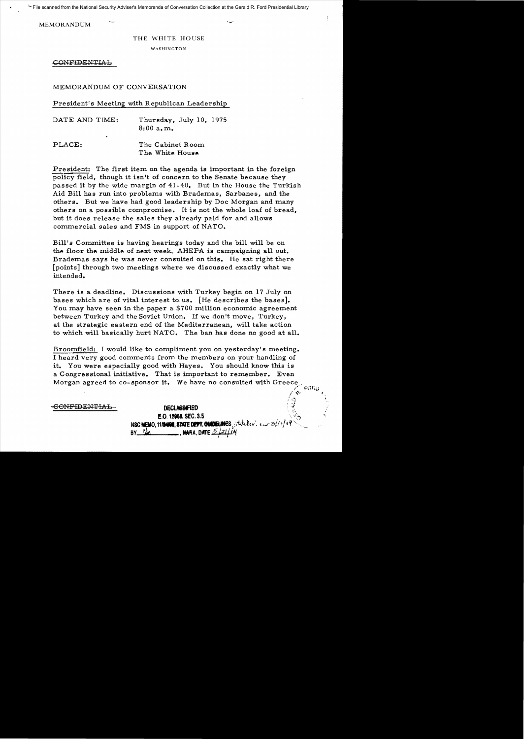File scanned from the National Security Adviser's Memoranda of Conversation Collection at the Gerald R. Ford Presidential Library

MEMORANDUM

#### THE WHITE HOUSE

WASHINGTON

CONFIDENTIAL

# MEMORANDUM OF CONVERSATION

### President's Meeting with Republican Leadership

| DATE AND TIME: | Thursday, July 10, 1975<br>8:00a.m. |
|----------------|-------------------------------------|
| ٠              |                                     |
| PLACE:         | The Cabinet Room<br>The White House |

President: The first item on the agenda is important in the foreign policy field, though it isn't of concern to the Senate because they passed it by the wide margin of 41-40. But in the House the Turkish Aid Bill has run into problems with Brademas, Sarbanes, and the others. But we have had good leadership by Doc Morgan and many others on a possible compromise. It is not the whole loaf of bread, but it does release the sales they already paid for and allows commercial sales and FMS in support of NATO.

Bill's Committee is having hearings today and the bill will be on the floor the middle of next week. AHEPA is campaigning all out. Brademas says he was never consulted on this. He sat right there [points] through two meetings where we discussed exactly what we intended.

There is a deadline. Discussions with Turkey begin on 17 July on bases which are of vital interest to us. [He describes the bases]. You may have seen in the paper a \$700 million economic agreement between Turkey and the Soviet Union. If we don't move, Turkey, at the strategic eastern end of the Mediterranean, will take action to which will basically hurt NATO. The ban has done no good at all.

Broomfield: I would like to compliment you on yesterday's meeting. I heard very good comments from the members on your handling of it. You were especially good with Hayes. You should know this is a Congressional initiative. That is important to remember. Even Morgan agreed to co-sponsor it. We have no consulted with Greece

**CONFIDENTIAL-** DECLASSIFIED

 $\ddot{\ddot{i}}$  $\mathbb{S}$ E.O. 12968, **SEC. 3.5** NSC MEMO, 1119400, STATE DEFT. CHADELINES State lev. exert  $2^{f/6/64}$  $BY$   $M$ 

r foru  $\mathcal{P}^{\alpha}$  (  $\mathcal{P}^{\alpha}$  ) and  $\mathcal{P}^{\alpha}$ 

 $\mathbb{C}^{\mathbb{Z}}$ 

-'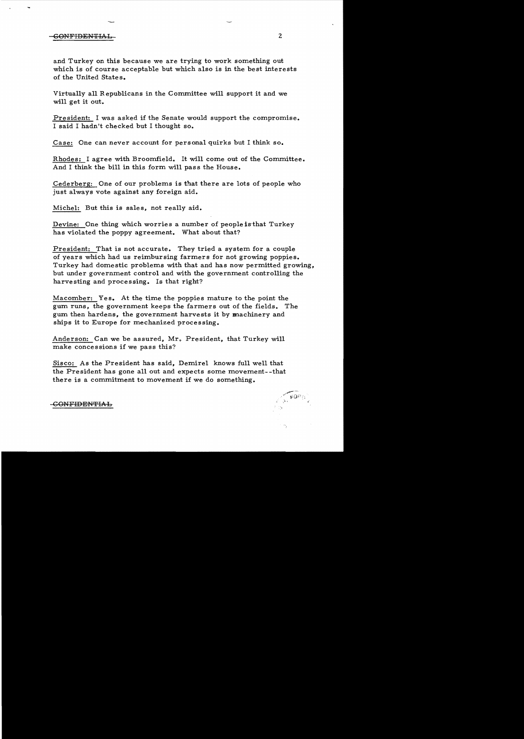# GONFIDENTIAL 2

and Turkey on this because we are trying to work something out which is of course acceptable but which also is in the best interests of the United States.

Virtually all Republicans in the Committee will support it and we will get it out.

President: I was asked if the Senate would support the compromise. I said I hadn't checked but I thought so.

Case: One can never account for personal quirks but I think so.

Rhodes: I agree with Broomfield. It will come out of the Committee. And I think the bill in this form will pass the House.

Cederberg: One of our problems is that there are lots of people who just always vote against any foreign aid.

Michel: But this is sales, not really aid.

Devine: One thing which worries a number of people is that Turkey has violated the poppy agreement. What about that?

President: That is not accurate. They tried a system for a couple of years which had us reimbursing farmers for not growing poppies. Turkey had domestic problems with that and has now permitted growing, but under government control and with the government controlling the harvesting and processing. Is that right?

Macomber: Yes. At the time the poppies mature to the point the gum runs, the government keeps the farmers out of the fields. The gum then hardens, the government harvests it by machinery and ships it to Europe for mechanized processing.

Anderson: Can we be assured, Mr. President, that Turkey will make concessions if we pass this?

Sisco: As the President has said, Demirel knows full well that the President has gone all out and expects some movement- -that there is a commitment to movement if we do something.



-GONF<del>IDENTIAL</del>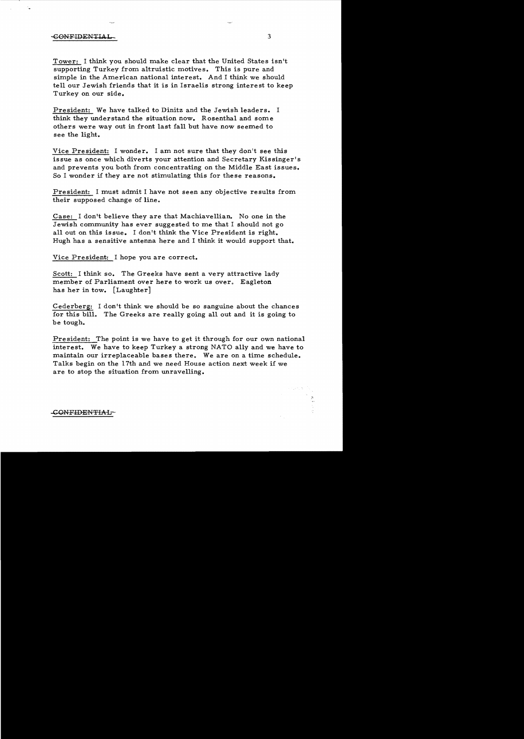## GONFIDENTIAL 3

Tower: I think you should make clear that the United States isn't supporting Turkey from altruistic motives. This is pure and simple in the American national interest. And I think we should tell our Jewish friends that it is in Israelis strong interest to keep Turkey on our side.

President: We have talked to Dinitz and the Jewish leaders. I think they understand the situation now. Rosenthal and some others were way out in front last fall but have now seemed to see the light.

Vice President: I wonder. I am not sure that they don't see this issue as once which diverts your attention and Secretary Kissinger's and prevents you both from concentrating on the Middle East issues. So I wonder if they are not stimulating this for these reasons.

President: I must admit I have not seen any objective results from their supposed change of line.

Case: I don't believe they are that Machiavellian. No one in the Jewish community has ever suggested to me that I should not go all out on this issue. I don't think the Vice President is right. Hugh has a sensitive antenna here and I think it would support that.

Vice President: I hope you are correct.

Scott: I think so. The Greeks have sent a very attractive lady member of Parliament over here to work us over. Eagleton has her in tow. [Laughter]

Cederberg: I don't think we should be so sanguine about the chances for this bill. The Greeks are really going all out and it is going to be tough.

President: The point is we have to get it through for our own national interest. We have to keep Turkey a strong NATO ally and we have to maintain our irreplaceable bases there. We are on a time schedule. Talks begin on the 17th and we need House action next week if we are to stop the situation from unravelling.

..cONF-IDENTIAL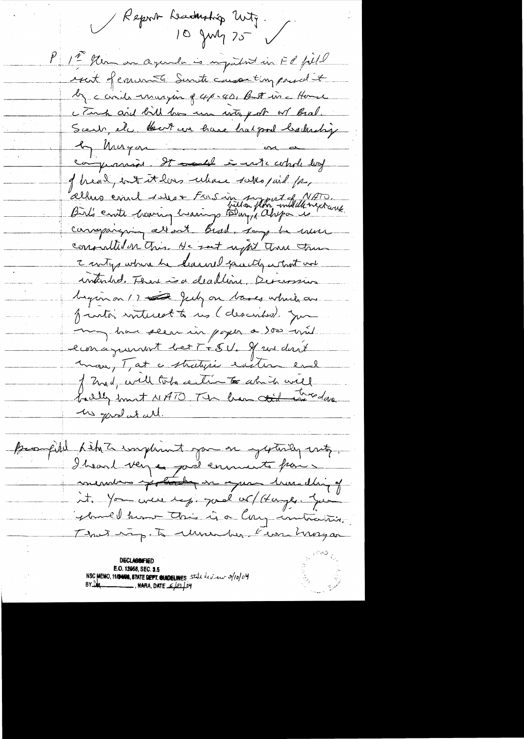Report Leaduration Unity. P 1ª Sten on agenda is impatint in FR foll exact of comments Sinite compared to by cards unaryon of 4p.40, But in a Home c Tank and bill has use with for or Bral. Scent, ele Bert un have hat good behartig le Mugar in a compramine. It could in which log of head, out it has celeare subspaid for, alhus emil sous Foisin sympat future carraparen alloat Bead, say to use consulted on this. He set uptil the these I writing where he hasself face the what we intended. There is a dealline, Deversion bigin on () and July on bases which are funto interest to us (descended Jun may have seen in pager a soo wit econagement betT+5U. If we don't mon, T, at a stratysie eviter end of Zurd, will tobe certies to which will bally but NATO The han tid wedow Me gave at all. Buomfield him to implement you or yesterday with. I heard very a poil environts par a mendres pottede en que travalling of it. You were top. good or (Hanger You yball home this is a large instruction. That imp. To Municipal Even Margar **DECLASSNFIED** E.O. 12958, SEC. 3.5 NSC MEMO, 11/2008, 8TATE DEFT. SUNDELINES State dev. en 3/10/04  $BYL$ <sub>4</sub>  $\longrightarrow$  NARA, DATE  $\mathcal{L}$ 21  $\downarrow$  by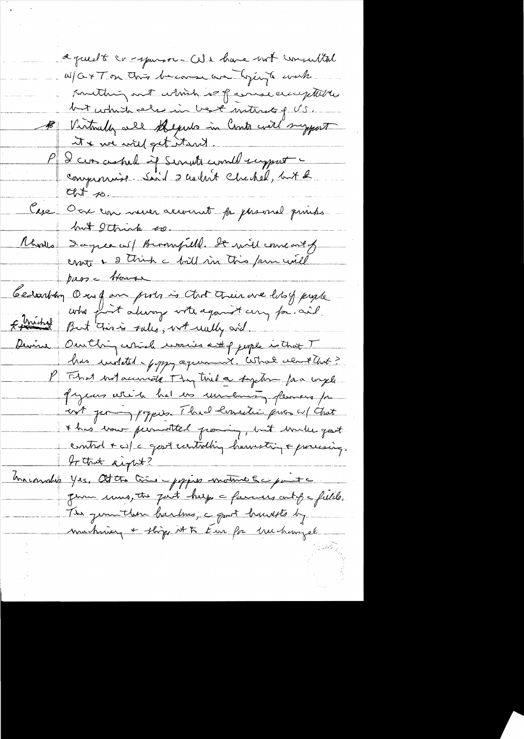aguedt cr-sparre-CUs have not consulted W/G+Ton this because an ligging to work sulting out which is paramecic ptilles but which also in best naturely US. B Virtually all shepulo in Canta will suggest the we will get itsut. P & cur asked if Servette could support compromise Said 2 audint Chachel, lat 2  $C_{\text{M}}$  to Case Our commencement for phases prints but Ithink to Rhodes Dagree as/ Buromfield. De mil come out of pass a trouver Cesarban Our fan probat that their are loby prople who post always with against any for, and. Estimated But this is sales, with wally and Devine Outling certicle works att of juple is that T has instited - forgg agreement. What element and? P That intaccurate Thy this a system faa wyl gazeurs which had es university flemens pa cost per papies. Thad branchi pur cu/ Gut I has trout permotted proming, but trule good entrol + os/c good ecertaling harvesting + processing.<br>It that aight? to that aight? Macarabe Yes, Otto Cris - poppes motive & c parte gum ums, the past help a famous ont of a fields. The jem then hardens, a goot hausts by machinez + ships it to Eur for Mechanizel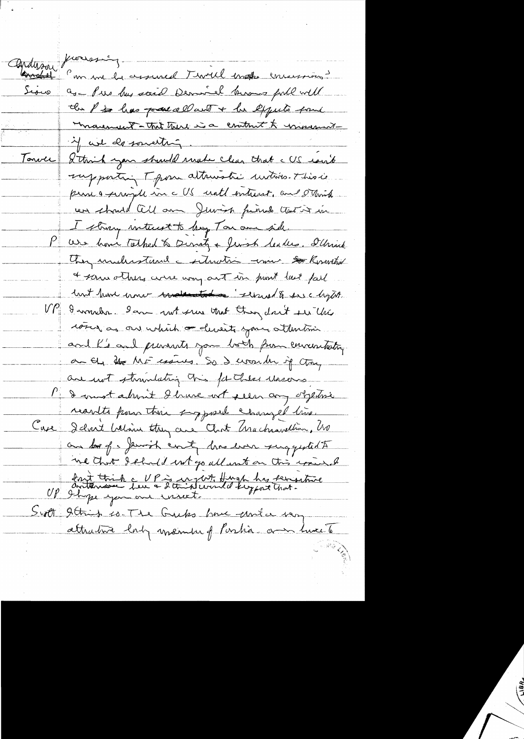fromsning. anderson Comment de assured Twell make enversions Sious as - Pres has said Demirel knows full will the P is has pared all with + he expects four Monderwert-That there is a contract to movement 4 avr de southing. I think you should make clean that a US rout <u>Tonver</u> supporting T pour attractic instino. This is perse a serigile in c US until entreast, and staint un should all an Juvish finish that it in I strong interest to beg Ton am side We how Talked & Densty + Jersh Seakes. Sthrick They understand - situation - min So Koswithing a some others were way out in pront last fall lant have come something "selsued & see lagter. UP Iwoulder Iam not sure that they don't see this come as an which or deverts your attention and his and prevents you both from enventuting au 64 the MF essues. So I would if they are not strundating this for these wasers Pa I most about I have not seen any objective reartes pour this supposed changed time. Case I dont beloin they are that brachandlion, ho an los of a Jewish county lone look surgested to ne that dehald not go all ant on this want of dont think a UP is in just thing the setting<br>UP I hope you are recent the thought that. Scott 9 this is The Gubs have easier very attrativa lab assemble of Partia and have to